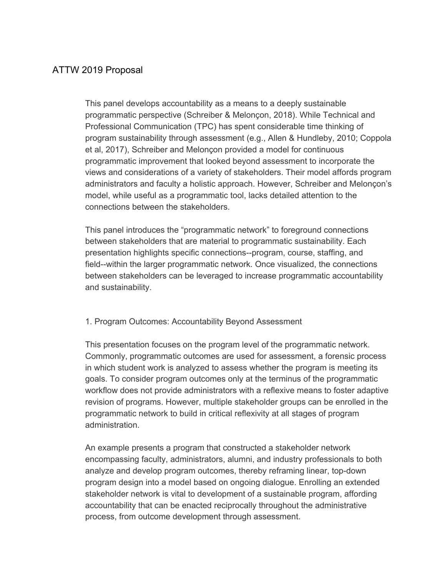# ATTW 2019 Proposal

This panel develops accountability as a means to a deeply sustainable programmatic perspective (Schreiber & Melonçon, 2018). While Technical and Professional Communication (TPC) has spent considerable time thinking of program sustainability through assessment (e.g., Allen & Hundleby, 2010; Coppola et al, 2017), Schreiber and Melonçon provided a model for continuous programmatic improvement that looked beyond assessment to incorporate the views and considerations of a variety of stakeholders. Their model affords program administrators and faculty a holistic approach. However, Schreiber and Melonçon's model, while useful as a programmatic tool, lacks detailed attention to the connections between the stakeholders.

This panel introduces the "programmatic network" to foreground connections between stakeholders that are material to programmatic sustainability. Each presentation highlights specific connections--program, course, staffing, and field--within the larger programmatic network. Once visualized, the connections between stakeholders can be leveraged to increase programmatic accountability and sustainability.

### 1. Program Outcomes: Accountability Beyond Assessment

This presentation focuses on the program level of the programmatic network. Commonly, programmatic outcomes are used for assessment, a forensic process in which student work is analyzed to assess whether the program is meeting its goals. To consider program outcomes only at the terminus of the programmatic workflow does not provide administrators with a reflexive means to foster adaptive revision of programs. However, multiple stakeholder groups can be enrolled in the programmatic network to build in critical reflexivity at all stages of program administration.

An example presents a program that constructed a stakeholder network encompassing faculty, administrators, alumni, and industry professionals to both analyze and develop program outcomes, thereby reframing linear, top-down program design into a model based on ongoing dialogue. Enrolling an extended stakeholder network is vital to development of a sustainable program, affording accountability that can be enacted reciprocally throughout the administrative process, from outcome development through assessment.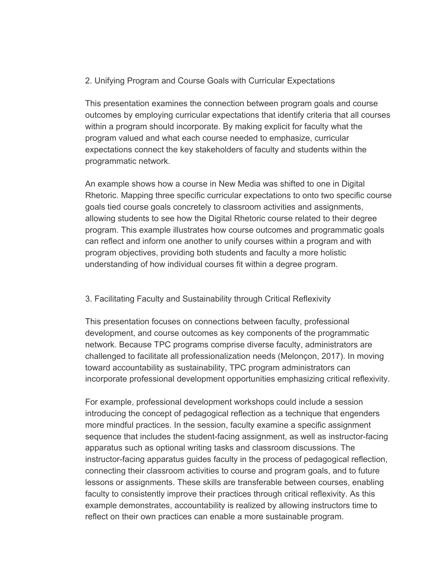# 2. Unifying Program and Course Goals with Curricular Expectations

This presentation examines the connection between program goals and course outcomes by employing curricular expectations that identify criteria that all courses within a program should incorporate. By making explicit for faculty what the program valued and what each course needed to emphasize, curricular expectations connect the key stakeholders of faculty and students within the programmatic network.

An example shows how a course in New Media was shifted to one in Digital Rhetoric. Mapping three specific curricular expectations to onto two specific course goals tied course goals concretely to classroom activities and assignments, allowing students to see how the Digital Rhetoric course related to their degree program. This example illustrates how course outcomes and programmatic goals can reflect and inform one another to unify courses within a program and with program objectives, providing both students and faculty a more holistic understanding of how individual courses fit within a degree program.

### 3. Facilitating Faculty and Sustainability through Critical Reflexivity

This presentation focuses on connections between faculty, professional development, and course outcomes as key components of the programmatic network. Because TPC programs comprise diverse faculty, administrators are challenged to facilitate all professionalization needs (Melonçon, 2017). In moving toward accountability as sustainability, TPC program administrators can incorporate professional development opportunities emphasizing critical reflexivity.

For example, professional development workshops could include a session introducing the concept of pedagogical reflection as a technique that engenders more mindful practices. In the session, faculty examine a specific assignment sequence that includes the student-facing assignment, as well as instructor-facing apparatus such as optional writing tasks and classroom discussions. The instructor-facing apparatus guides faculty in the process of pedagogical reflection, connecting their classroom activities to course and program goals, and to future lessons or assignments. These skills are transferable between courses, enabling faculty to consistently improve their practices through critical reflexivity. As this example demonstrates, accountability is realized by allowing instructors time to reflect on their own practices can enable a more sustainable program.